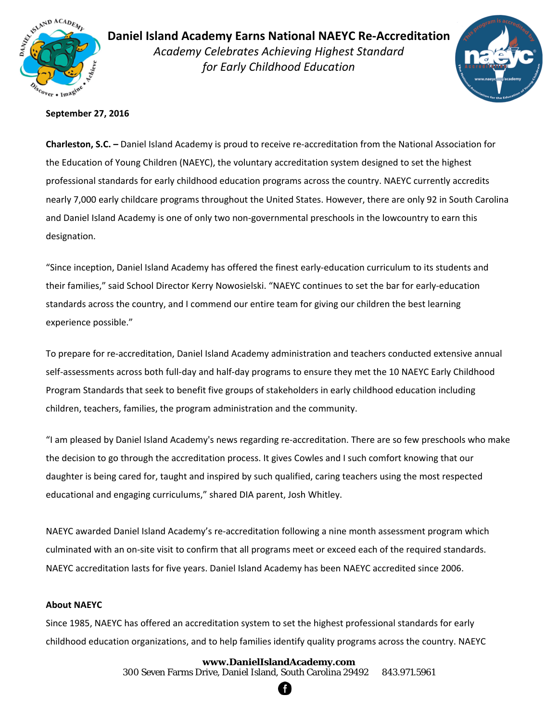

 *Academy Celebrates Achieving Highest Standard*  **Daniel Island Academy Earns National NAEYC Re‐Accreditation**  *for Early Childhood Education* 



### **September 27, 2016**

**Charleston, S.C. –** Daniel Island Academy is proud to receive re‐accreditation from the National Association for the Education of Young Children (NAEYC), the voluntary accreditation system designed to set the highest professional standards for early childhood education programs across the country. NAEYC currently accredits nearly 7,000 early childcare programs throughout the United States. However, there are only 92 in South Carolina and Daniel Island Academy is one of only two non-governmental preschools in the lowcountry to earn this designation.

"Since inception, Daniel Island Academy has offered the finest early‐education curriculum to its students and their families," said School Director Kerry Nowosielski. "NAEYC continues to set the bar for early‐education standards across the country, and I commend our entire team for giving our children the best learning experience possible."

To prepare for re‐accreditation, Daniel Island Academy administration and teachers conducted extensive annual self-assessments across both full-day and half-day programs to ensure they met the 10 NAEYC Early Childhood Program Standards that seek to benefit five groups of stakeholders in early childhood education including children, teachers, families, the program administration and the community.

"I am pleased by Daniel Island Academy's news regarding re‐accreditation. There are so few preschools who make the decision to go through the accreditation process. It gives Cowles and I such comfort knowing that our daughter is being cared for, taught and inspired by such qualified, caring teachers using the most respected educational and engaging curriculums," shared DIA parent, Josh Whitley.

NAEYC awarded Daniel Island Academy's re‐accreditation following a nine month assessment program which culminated with an on‐site visit to confirm that all programs meet or exceed each of the required standards. NAEYC accreditation lasts for five years. Daniel Island Academy has been NAEYC accredited since 2006.

#### **About NAEYC**

Since 1985, NAEYC has offered an accreditation system to set the highest professional standards for early childhood education organizations, and to help families identify quality programs across the country. NAEYC

# **www.DanielIslandAcademy.com**

300 Seven Farms Drive, Daniel Island, South Carolina 29492 843.971.5961